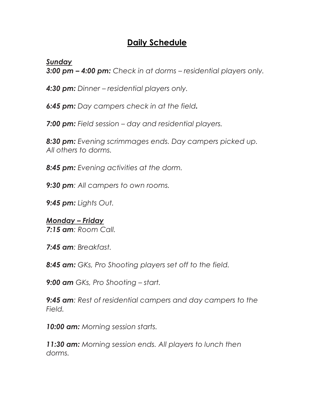# **Daily Schedule**

#### *Sunday*

*3:00 pm – 4:00 pm: Check in at dorms – residential players only.*

*4:30 pm: Dinner – residential players only.*

*6:45 pm: Day campers check in at the field.*

*7:00 pm: Field session – day and residential players.*

*8:30 pm: Evening scrimmages ends. Day campers picked up. All others to dorms.*

*8:45 pm: Evening activities at the dorm.*

*9:30 pm: All campers to own rooms.*

*9:45 pm: Lights Out.*

## *Monday – Friday*

*7:15 am: Room Call.*

*7:45 am: Breakfast.*

*8:45 am: GKs, Pro Shooting players set off to the field.*

*9:00 am GKs, Pro Shooting – start.*

*9:45 am: Rest of residential campers and day campers to the Field.*

*10:00 am: Morning session starts.*

*11:30 am: Morning session ends. All players to lunch then dorms.*